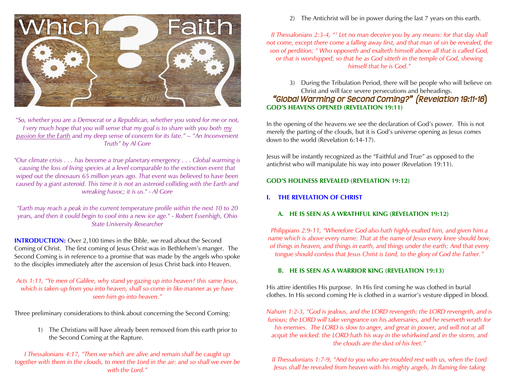

*"So, whether you are a Democrat or a Republican, whether you voted for me or not, I* very much hope that you will sense that my goal is to share with you both my *passion for the Earth and my deep sense of concern for its fate." – "An Inconvenient Truth" by Al Gore*

*"Our climate crisis . . . has become a true planetary emergency . . . Global warming is causing the loss of living species at a level comparable to the extinction event that wiped out the dinosaurs 65 million years ago. That event was believed to have been caused by a giant asteroid. This time it is not an asteroid colliding with the Earth and wreaking havoc; it is us." - Al Gore*

*"Earth may reach a peak in the current temperature profile within the next 10 to 20 years, and then it could begin to cool into a new ice age." - Robert Essenhigh, Ohio State University Researcher*

**INTRODUCTION:** Over 2,100 times in the Bible, we read about the Second Coming of Christ. The first coming of Jesus Christ was in Bethlehem's manger. The Second Coming is in reference to a promise that was made by the angels who spoke to the disciples immediately after the ascension of Jesus Christ back into Heaven.

## *Acts 1:11, "Ye men of Galilee, why stand ye gazing up into heaven? this same Jesus, which is taken up from you into heaven, shall so come in like manner as ye have seen him go into heaven."*

Three preliminary considerations to think about concerning the Second Coming:

1) The Christians will have already been removed from this earth prior to the Second Coming at the Rapture.

*I Thessalonians 4:17, "Then we which are alive and remain shall be caught up together with them in the clouds, to meet the Lord in the air: and so shall we ever be with the Lord."*

2) The Antichrist will be in power during the last 7 years on this earth.

*II Thessalonians 2:3-4, "<sup>3</sup> Let no man deceive you by any means: for that day shall not come, except there come a falling away first, and that man of sin be revealed, the son of perdition; <sup>4</sup> Who opposeth and exalteth himself above all that is called God, or that is worshipped; so that he as God sitteth in the temple of God, shewing himself that he is God."*

3) During the Tribulation Period, there will be people who will believe on Christ and will face severe persecutions and beheadings.

# **GOD'S HEAVENS OPENED (REVELATION 19:11)** *"Global Warming or Second Coming?" (Revelation 19:11-16***)**

In the opening of the heavens we see the declaration of God's power. This is not merely the parting of the clouds, but it is God's universe opening as Jesus comes down to the world (Revelation 6:14-17).

Jesus will be instantly recognized as the "Faithful and True" as opposed to the antichrist who will manipulate his way into power (Revelation 19:11).

# **GOD'S HOLINESS REVEALED (REVELATION 19:12)**

# **I. THE REVELATION OF CHRIST**

# **A. HE IS SEEN AS A WRATHFUL KING (REVELATION 19:12)**

*Philippians 2:9-11, "Wherefore God also hath highly exalted him, and given him a name which is above every name: That at the name of Jesus every knee should bow, of things in heaven, and things in earth, and things under the earth; And that every tongue should confess that Jesus Christ is Lord, to the glory of God the Father."*

## **B. HE IS SEEN AS A WARRIOR KING (REVELATION 19:13)**

His attire identifies His purpose. In His first coming he was clothed in burial clothes. In His second coming He is clothed in a warrior's vesture dipped in blood.

*Nahum 1:2-3, "God is jealous, and the LORD revengeth; the LORD revengeth, and is furious; the LORD will take vengeance on his adversaries, and he reserveth wrath for his enemies. The LORD is slow to anger, and great in power, and will not at all acquit the wicked: the LORD hath his way in the whirlwind and in the storm, and the clouds are the dust of his feet."*

*II Thessalonians 1:7-9, "And to you who are troubled rest with us, when the Lord Jesus shall be revealed from heaven with his mighty angels, In flaming fire taking*